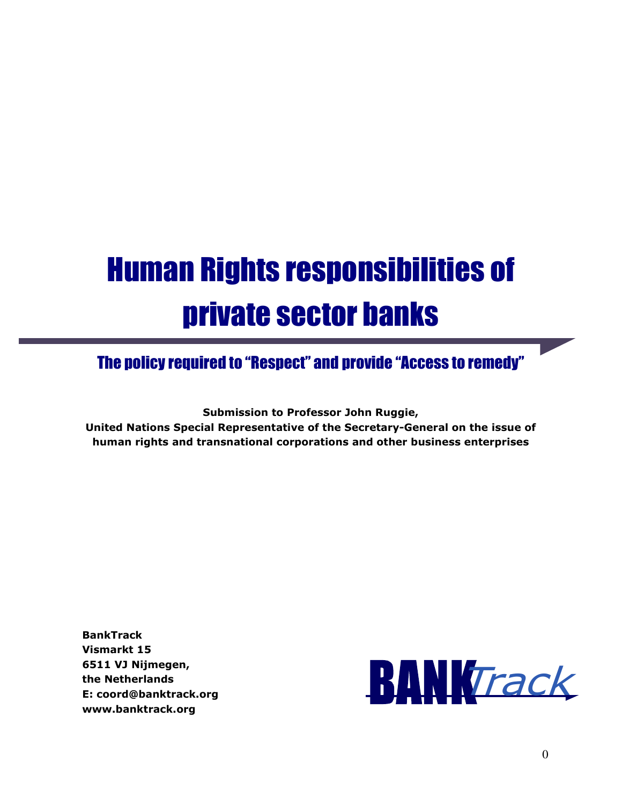# Human Rights responsibilities of private sector banks

# The policy required to "Respect" and provide "Access to remedy"

**Submission to Professor John Ruggie,** 

**United Nations Special Representative of the Secretary-General on the issue of human rights and transnational corporations and other business enterprises** 

**BankTrack Vismarkt 15 6511 VJ Nijmegen, the Netherlands E: coord@banktrack.org www.banktrack.org** 

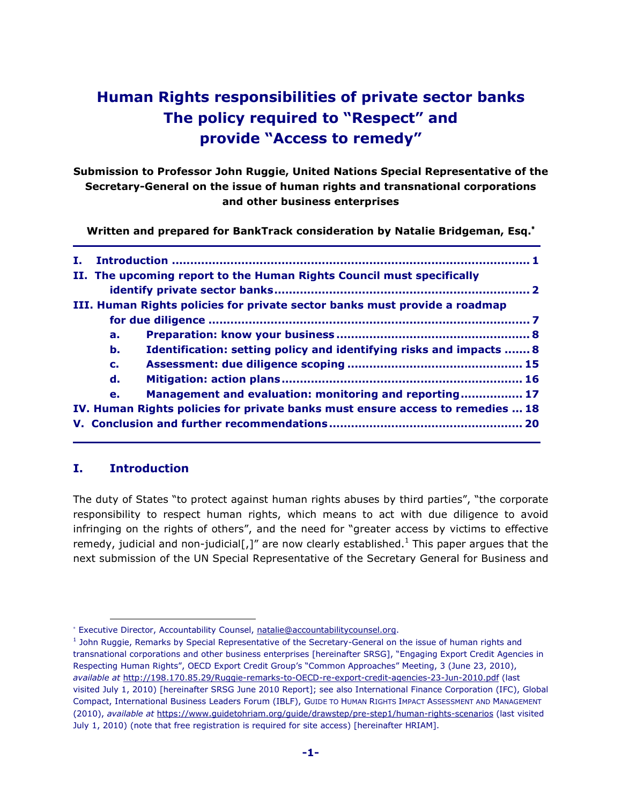# **Human Rights responsibilities of private sector banks The policy required to "Respect" and provide "Access to remedy"**

**Submission to Professor John Ruggie, United Nations Special Representative of the Secretary-General on the issue of human rights and transnational corporations and other business enterprises** 

**Written and prepared for BankTrack consideration by Natalie Bridgeman, Esq.**<sup>∗</sup>

| т. |                                                                       |                                                                                |  |  |  |  |  |
|----|-----------------------------------------------------------------------|--------------------------------------------------------------------------------|--|--|--|--|--|
|    | II. The upcoming report to the Human Rights Council must specifically |                                                                                |  |  |  |  |  |
|    |                                                                       |                                                                                |  |  |  |  |  |
|    |                                                                       | III. Human Rights policies for private sector banks must provide a roadmap     |  |  |  |  |  |
|    |                                                                       |                                                                                |  |  |  |  |  |
|    | a.                                                                    |                                                                                |  |  |  |  |  |
|    | b.                                                                    | Identification: setting policy and identifying risks and impacts  8            |  |  |  |  |  |
|    | $c_{\cdot}$                                                           |                                                                                |  |  |  |  |  |
|    | d.                                                                    |                                                                                |  |  |  |  |  |
|    | e.                                                                    | Management and evaluation: monitoring and reporting 17                         |  |  |  |  |  |
|    |                                                                       | IV. Human Rights policies for private banks must ensure access to remedies  18 |  |  |  |  |  |
|    |                                                                       |                                                                                |  |  |  |  |  |

### **I. Introduction**

 $\overline{a}$ 

The duty of States "to protect against human rights abuses by third parties", "the corporate responsibility to respect human rights, which means to act with due diligence to avoid infringing on the rights of others", and the need for "greater access by victims to effective remedy, judicial and non-judicial[,]" are now clearly established.<sup>1</sup> This paper argues that the next submission of the UN Special Representative of the Secretary General for Business and

<sup>∗</sup> Executive Director, Accountability Counsel, natalie@accountabilitycounsel.org.

<sup>&</sup>lt;sup>1</sup> John Ruggie, Remarks by Special Representative of the Secretary-General on the issue of human rights and transnational corporations and other business enterprises [hereinafter SRSG], "Engaging Export Credit Agencies in Respecting Human Rights", OECD Export Credit Group's "Common Approaches" Meeting, 3 (June 23, 2010), *available at* http://198.170.85.29/Ruggie-remarks-to-OECD-re-export-credit-agencies-23-Jun-2010.pdf (last visited July 1, 2010) [hereinafter SRSG June 2010 Report]; see also International Finance Corporation (IFC), Global Compact, International Business Leaders Forum (IBLF), GUIDE TO HUMAN RIGHTS IMPACT ASSESSMENT AND MANAGEMENT (2010), *available at* https://www.guidetohriam.org/guide/drawstep/pre-step1/human-rights-scenarios (last visited July 1, 2010) (note that free registration is required for site access) [hereinafter HRIAM].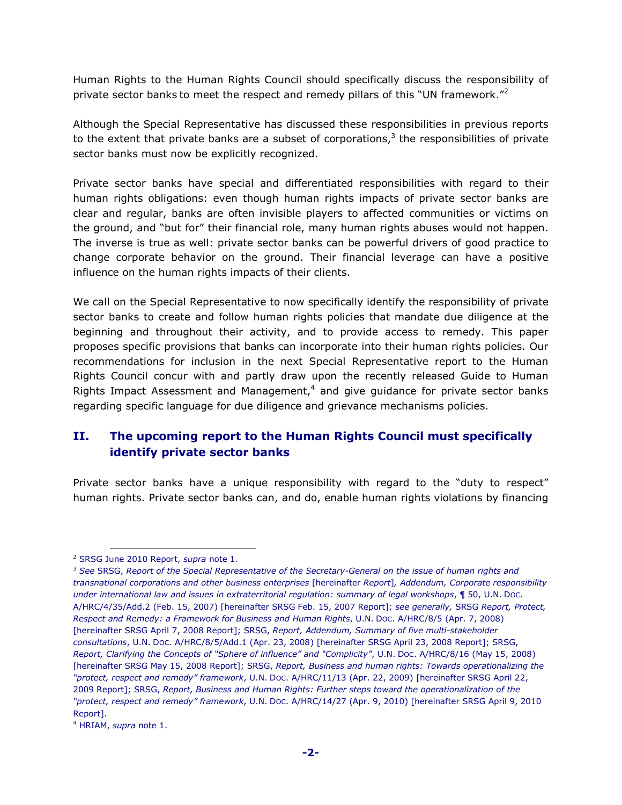Human Rights to the Human Rights Council should specifically discuss the responsibility of private sector banks to meet the respect and remedy pillars of this "UN framework." $^2$ 

Although the Special Representative has discussed these responsibilities in previous reports to the extent that private banks are a subset of corporations,<sup>3</sup> the responsibilities of private sector banks must now be explicitly recognized.

Private sector banks have special and differentiated responsibilities with regard to their human rights obligations: even though human rights impacts of private sector banks are clear and regular, banks are often invisible players to affected communities or victims on the ground, and "but for" their financial role, many human rights abuses would not happen. The inverse is true as well: private sector banks can be powerful drivers of good practice to change corporate behavior on the ground. Their financial leverage can have a positive influence on the human rights impacts of their clients.

We call on the Special Representative to now specifically identify the responsibility of private sector banks to create and follow human rights policies that mandate due diligence at the beginning and throughout their activity, and to provide access to remedy. This paper proposes specific provisions that banks can incorporate into their human rights policies. Our recommendations for inclusion in the next Special Representative report to the Human Rights Council concur with and partly draw upon the recently released Guide to Human Rights Impact Assessment and Management, $4$  and give guidance for private sector banks regarding specific language for due diligence and grievance mechanisms policies.

# **II. The upcoming report to the Human Rights Council must specifically identify private sector banks**

Private sector banks have a unique responsibility with regard to the "duty to respect" human rights. Private sector banks can, and do, enable human rights violations by financing

<sup>2</sup> SRSG June 2010 Report, *supra* note 1.

<sup>3</sup> *See* SRSG, *Report of the Special Representative of the Secretary-General on the issue of human rights and transnational corporations and other business enterprises* [hereinafter *Report*]*, Addendum, Corporate responsibility under international law and issues in extraterritorial regulation: summary of legal workshops*, ¶ 50, U.N. DOC. A/HRC/4/35/Add.2 (Feb. 15, 2007) [hereinafter SRSG Feb. 15, 2007 Report]; *see generally,* SRSG *Report, Protect, Respect and Remedy: a Framework for Business and Human Rights*, U.N. DOC. A/HRC/8/5 (Apr. 7, 2008) [hereinafter SRSG April 7, 2008 Report]; SRSG, *Report, Addendum, Summary of five multi-stakeholder consultations*, U.N. DOC. A/HRC/8/5/Add.1 (Apr. 23, 2008) [hereinafter SRSG April 23, 2008 Report]; SRSG, *Report, Clarifying the Concepts of "Sphere of influence" and "Complicity"*, U.N. DOC. A/HRC/8/16 (May 15, 2008) [hereinafter SRSG May 15, 2008 Report]; SRSG, *Report, Business and human rights: Towards operationalizing the "protect, respect and remedy" framework*, U.N. DOC. A/HRC/11/13 (Apr. 22, 2009) [hereinafter SRSG April 22, 2009 Report]; SRSG, *Report, Business and Human Rights: Further steps toward the operationalization of the "protect, respect and remedy" framework*, U.N. DOC. A/HRC/14/27 (Apr. 9, 2010) [hereinafter SRSG April 9, 2010 Report].

<sup>4</sup> HRIAM, *supra* note 1.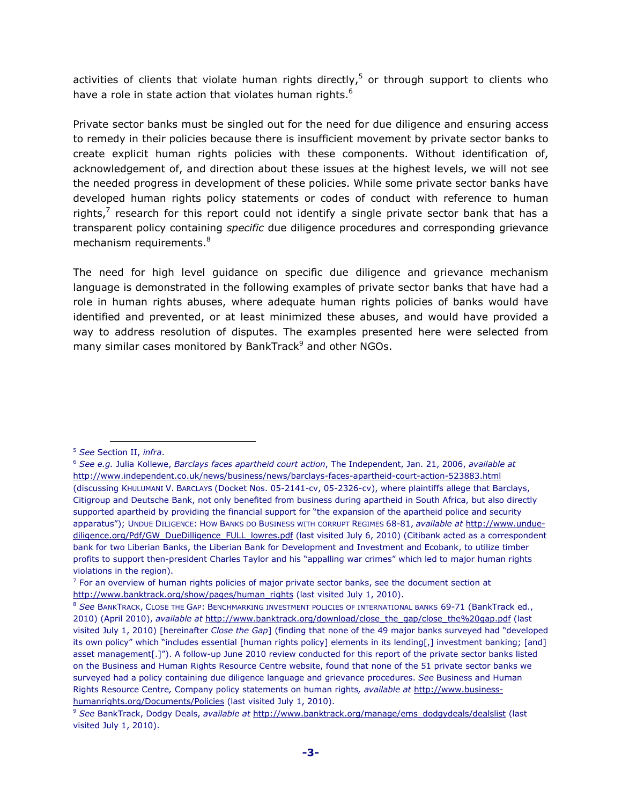activities of clients that violate human rights directly,<sup>5</sup> or through support to clients who have a role in state action that violates human rights.<sup>6</sup>

Private sector banks must be singled out for the need for due diligence and ensuring access to remedy in their policies because there is insufficient movement by private sector banks to create explicit human rights policies with these components. Without identification of, acknowledgement of, and direction about these issues at the highest levels, we will not see the needed progress in development of these policies. While some private sector banks have developed human rights policy statements or codes of conduct with reference to human rights,<sup>7</sup> research for this report could not identify a single private sector bank that has a transparent policy containing *specific* due diligence procedures and corresponding grievance mechanism requirements.<sup>8</sup>

The need for high level guidance on specific due diligence and grievance mechanism language is demonstrated in the following examples of private sector banks that have had a role in human rights abuses, where adequate human rights policies of banks would have identified and prevented, or at least minimized these abuses, and would have provided a way to address resolution of disputes. The examples presented here were selected from many similar cases monitored by BankTrack<sup>9</sup> and other NGOs.

<sup>5</sup> *See* Section II, *infra*.

<sup>6</sup> *See e.g.* Julia Kollewe, *Barclays faces apartheid court action*, The Independent, Jan. 21, 2006, *available at*  http://www.independent.co.uk/news/business/news/barclays-faces-apartheid-court-action-523883.html (discussing KHULUMANI V. BARCLAYS (Docket Nos. 05-2141-cv, 05-2326-cv), where plaintiffs allege that Barclays, Citigroup and Deutsche Bank, not only benefited from business during apartheid in South Africa, but also directly supported apartheid by providing the financial support for "the expansion of the apartheid police and security apparatus"); UNDUE DILIGENCE: HOW BANKS DO BUSINESS WITH CORRUPT REGIMES 68-81, *available at* http://www.unduediligence.org/Pdf/GW\_DueDilligence\_FULL\_lowres.pdf (last visited July 6, 2010) (Citibank acted as a correspondent bank for two Liberian Banks, the Liberian Bank for Development and Investment and Ecobank, to utilize timber profits to support then-president Charles Taylor and his "appalling war crimes" which led to major human rights violations in the region).

 $<sup>7</sup>$  For an overview of human rights policies of major private sector banks, see the document section at</sup> http://www.banktrack.org/show/pages/human\_rights (last visited July 1, 2010).

<sup>8</sup> *See* BANKTRACK, CLOSE THE GAP: BENCHMARKING INVESTMENT POLICIES OF INTERNATIONAL BANKS 69-71 (BankTrack ed., 2010) (April 2010), *available at* http://www.banktrack.org/download/close\_the\_gap/close\_the%20gap.pdf (last visited July 1, 2010) [hereinafter *Close the Gap*] (finding that none of the 49 major banks surveyed had "developed its own policy" which "includes essential [human rights policy] elements in its lending[,] investment banking; [and] asset management[.]"). A follow-up June 2010 review conducted for this report of the private sector banks listed on the Business and Human Rights Resource Centre website, found that none of the 51 private sector banks we surveyed had a policy containing due diligence language and grievance procedures. *See* Business and Human Rights Resource Centre*,* Company policy statements on human rights*, available at* http://www.businesshumanrights.org/Documents/Policies (last visited July 1, 2010).

<sup>9</sup> *See* BankTrack, Dodgy Deals, *available at* http://www.banktrack.org/manage/ems\_dodgydeals/dealslist (last visited July 1, 2010).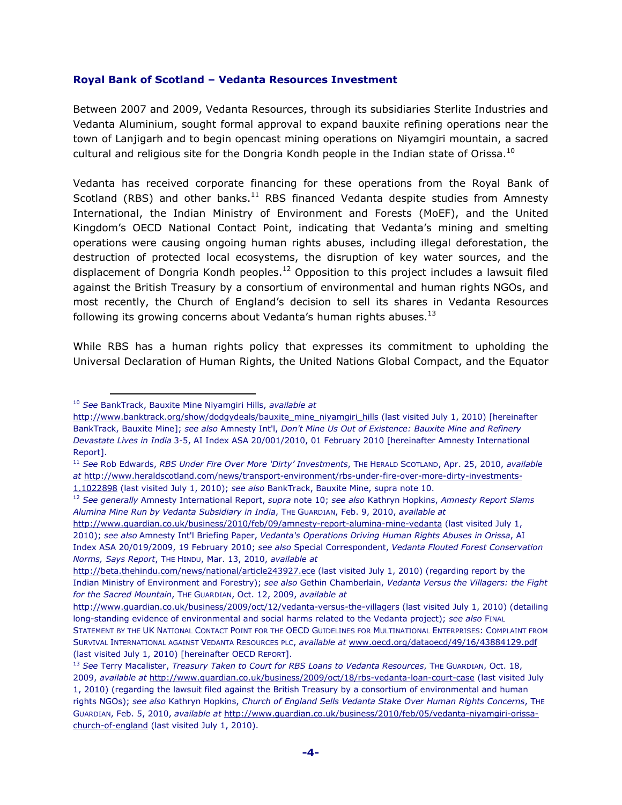#### **Royal Bank of Scotland – Vedanta Resources Investment**

Between 2007 and 2009, Vedanta Resources, through its subsidiaries Sterlite Industries and Vedanta Aluminium, sought formal approval to expand bauxite refining operations near the town of Lanjigarh and to begin opencast mining operations on Niyamgiri mountain, a sacred cultural and religious site for the Dongria Kondh people in the Indian state of Orissa. $^{10}$ 

Vedanta has received corporate financing for these operations from the Royal Bank of Scotland (RBS) and other banks. $11$  RBS financed Vedanta despite studies from Amnesty International, the Indian Ministry of Environment and Forests (MoEF), and the United Kingdom's OECD National Contact Point, indicating that Vedanta's mining and smelting operations were causing ongoing human rights abuses, including illegal deforestation, the destruction of protected local ecosystems, the disruption of key water sources, and the displacement of Dongria Kondh peoples.<sup>12</sup> Opposition to this project includes a lawsuit filed against the British Treasury by a consortium of environmental and human rights NGOs, and most recently, the Church of England's decision to sell its shares in Vedanta Resources following its growing concerns about Vedanta's human rights abuses. $13$ 

While RBS has a human rights policy that expresses its commitment to upholding the Universal Declaration of Human Rights, the United Nations Global Compact, and the Equator

l.

<sup>10</sup> *See* BankTrack, Bauxite Mine Niyamgiri Hills, *available at* 

http://www.banktrack.org/show/dodgydeals/bauxite\_mine\_niyamgiri\_hills (last visited July 1, 2010) [hereinafter BankTrack, Bauxite Mine]; *see also* Amnesty Int'l, *Don't Mine Us Out of Existence: Bauxite Mine and Refinery Devastate Lives in India* 3-5, AI Index ASA 20/001/2010, 01 February 2010 [hereinafter Amnesty International Report].

<sup>11</sup> *See* Rob Edwards, *RBS Under Fire Over More 'Dirty' Investments*, THE HERALD SCOTLAND, Apr. 25, 2010, *available at* http://www.heraldscotland.com/news/transport-environment/rbs-under-fire-over-more-dirty-investments-1.1022898 (last visited July 1, 2010); *see also* BankTrack, Bauxite Mine, supra note 10.

<sup>12</sup> *See generally* Amnesty International Report, *supra* note 10; *see also* Kathryn Hopkins, *Amnesty Report Slams Alumina Mine Run by Vedanta Subsidiary in India*, THE GUARDIAN, Feb. 9, 2010, *available at*

http://www.guardian.co.uk/business/2010/feb/09/amnesty-report-alumina-mine-vedanta (last visited July 1, 2010); *see also* Amnesty Int'l Briefing Paper, *Vedanta's Operations Driving Human Rights Abuses in Orissa*, AI Index ASA 20/019/2009, 19 February 2010; *see also* Special Correspondent, *Vedanta Flouted Forest Conservation Norms, Says Report*, THE HINDU, Mar. 13, 2010, *available at* 

http://beta.thehindu.com/news/national/article243927.ece (last visited July 1, 2010) (regarding report by the Indian Ministry of Environment and Forestry); *see also* Gethin Chamberlain, *Vedanta Versus the Villagers: the Fight for the Sacred Mountain*, THE GUARDIAN, Oct. 12, 2009, *available at*

http://www.guardian.co.uk/business/2009/oct/12/vedanta-versus-the-villagers (last visited July 1, 2010) (detailing long-standing evidence of environmental and social harms related to the Vedanta project); *see also* FINAL STATEMENT BY THE UK NATIONAL CONTACT POINT FOR THE OECD GUIDELINES FOR MULTINATIONAL ENTERPRISES: COMPLAINT FROM SURVIVAL INTERNATIONAL AGAINST VEDANTA RESOURCES PLC, *available at* www.oecd.org/dataoecd/49/16/43884129.pdf (last visited July 1, 2010) [hereinafter OECD REPORT].

<sup>13</sup> *See* Terry Macalister, *Treasury Taken to Court for RBS Loans to Vedanta Resources*, THE GUARDIAN, Oct. 18, 2009, *available at* http://www.guardian.co.uk/business/2009/oct/18/rbs-vedanta-loan-court-case (last visited July 1, 2010) (regarding the lawsuit filed against the British Treasury by a consortium of environmental and human rights NGOs); *see also* Kathryn Hopkins, *Church of England Sells Vedanta Stake Over Human Rights Concerns*, THE GUARDIAN, Feb. 5, 2010, *available at* http://www.guardian.co.uk/business/2010/feb/05/vedanta-niyamgiri-orissachurch-of-england (last visited July 1, 2010).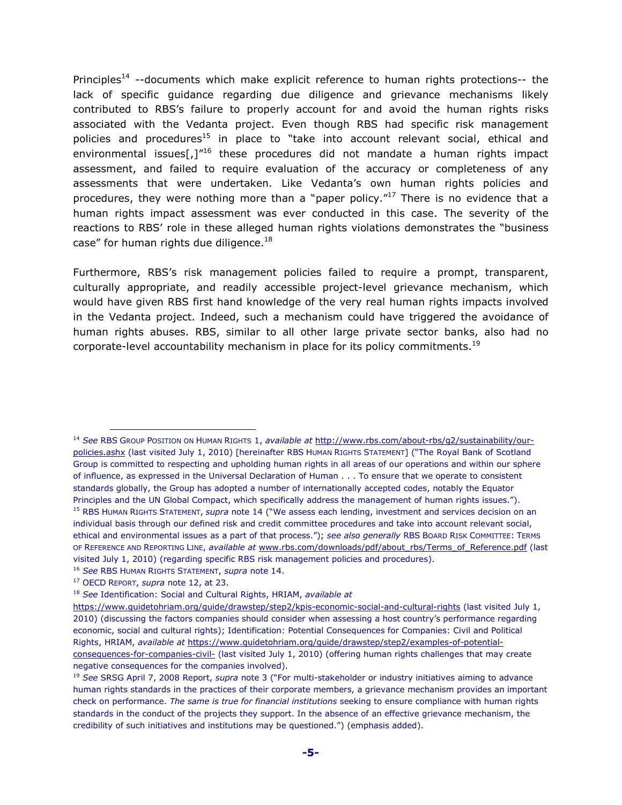Principles<sup>14</sup> --documents which make explicit reference to human rights protections-- the lack of specific guidance regarding due diligence and grievance mechanisms likely contributed to RBS's failure to properly account for and avoid the human rights risks associated with the Vedanta project. Even though RBS had specific risk management policies and procedures<sup>15</sup> in place to "take into account relevant social, ethical and environmental issues[,] $^{\prime\prime 16}$  these procedures did not mandate a human rights impact assessment, and failed to require evaluation of the accuracy or completeness of any assessments that were undertaken. Like Vedanta's own human rights policies and procedures, they were nothing more than a "paper policy. $17$  There is no evidence that a human rights impact assessment was ever conducted in this case. The severity of the reactions to RBS' role in these alleged human rights violations demonstrates the "business case" for human rights due diligence.<sup>18</sup>

Furthermore, RBS's risk management policies failed to require a prompt, transparent, culturally appropriate, and readily accessible project-level grievance mechanism, which would have given RBS first hand knowledge of the very real human rights impacts involved in the Vedanta project. Indeed, such a mechanism could have triggered the avoidance of human rights abuses. RBS, similar to all other large private sector banks, also had no corporate-level accountability mechanism in place for its policy commitments.<sup>19</sup>

<sup>14</sup> *See* RBS GROUP POSITION ON HUMAN RIGHTS 1, *available at* http://www.rbs.com/about-rbs/g2/sustainability/ourpolicies.ashx (last visited July 1, 2010) [hereinafter RBS HUMAN RIGHTS STATEMENT] ("The Royal Bank of Scotland Group is committed to respecting and upholding human rights in all areas of our operations and within our sphere of influence, as expressed in the Universal Declaration of Human . . . To ensure that we operate to consistent standards globally, the Group has adopted a number of internationally accepted codes, notably the Equator Principles and the UN Global Compact, which specifically address the management of human rights issues."). <sup>15</sup> RBS HUMAN RIGHTS STATEMENT, *supra* note 14 ("We assess each lending, investment and services decision on an individual basis through our defined risk and credit committee procedures and take into account relevant social, ethical and environmental issues as a part of that process."); *see also generally* RBS BOARD RISK COMMITTEE: TERMS OF REFERENCE AND REPORTING LINE, *available at* www.rbs.com/downloads/pdf/about\_rbs/Terms\_of\_Reference.pdf (last visited July 1, 2010) (regarding specific RBS risk management policies and procedures).

<sup>16</sup> *See* RBS HUMAN RIGHTS STATEMENT, *supra* note 14.

<sup>17</sup> OECD REPORT, *supra* note 12, at 23.

<sup>18</sup> *See* Identification: Social and Cultural Rights, HRIAM, *available at*

https://www.guidetohriam.org/guide/drawstep/step2/kpis-economic-social-and-cultural-rights (last visited July 1, 2010) (discussing the factors companies should consider when assessing a host country's performance regarding economic, social and cultural rights); Identification: Potential Consequences for Companies: Civil and Political Rights, HRIAM, *available at* https://www.guidetohriam.org/guide/drawstep/step2/examples-of-potentialconsequences-for-companies-civil- (last visited July 1, 2010) (offering human rights challenges that may create negative consequences for the companies involved).

<sup>19</sup> *See* SRSG April 7, 2008 Report, *supra* note 3 ("For multi-stakeholder or industry initiatives aiming to advance human rights standards in the practices of their corporate members, a grievance mechanism provides an important check on performance. *The same is true for financial institutions* seeking to ensure compliance with human rights standards in the conduct of the projects they support. In the absence of an effective grievance mechanism, the credibility of such initiatives and institutions may be questioned.") (emphasis added).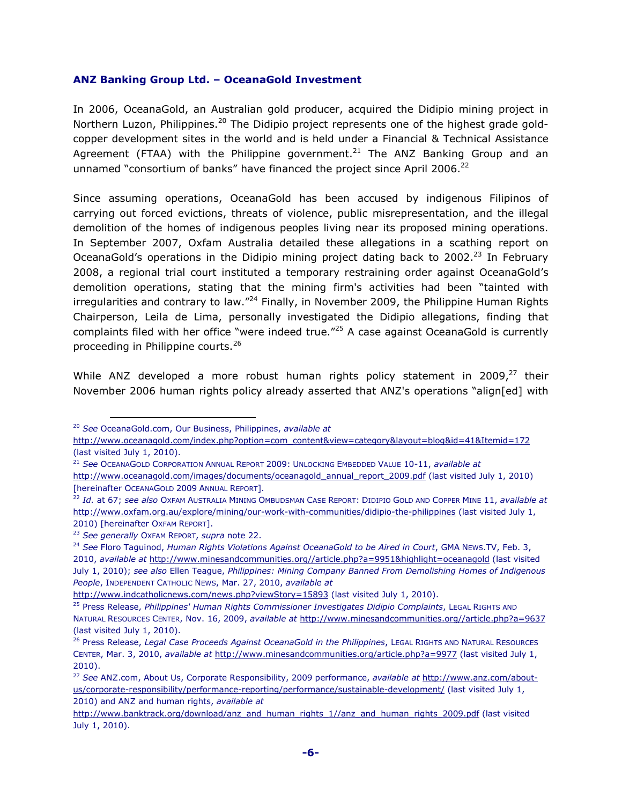#### **ANZ Banking Group Ltd. – OceanaGold Investment**

In 2006, OceanaGold, an Australian gold producer, acquired the Didipio mining project in Northern Luzon, Philippines.<sup>20</sup> The Didipio project represents one of the highest grade goldcopper development sites in the world and is held under a Financial & Technical Assistance Agreement (FTAA) with the Philippine government.<sup>21</sup> The ANZ Banking Group and an unnamed "consortium of banks" have financed the project since April 2006. $^{22}$ 

Since assuming operations, OceanaGold has been accused by indigenous Filipinos of carrying out forced evictions, threats of violence, public misrepresentation, and the illegal demolition of the homes of indigenous peoples living near its proposed mining operations. In September 2007, Oxfam Australia detailed these allegations in a scathing report on OceanaGold's operations in the Didipio mining project dating back to  $2002.<sup>23</sup>$  In February 2008, a regional trial court instituted a temporary restraining order against OceanaGold's demolition operations, stating that the mining firm's activities had been "tainted with irregularities and contrary to law."<sup>24</sup> Finally, in November 2009, the Philippine Human Rights Chairperson, Leila de Lima, personally investigated the Didipio allegations, finding that complaints filed with her office "were indeed true."<sup>25</sup> A case against OceanaGold is currently proceeding in Philippine courts.<sup>26</sup>

While ANZ developed a more robust human rights policy statement in 2009, $27$  their November 2006 human rights policy already asserted that ANZ's operations "align[ed] with

<sup>20</sup> *See* OceanaGold.com, Our Business, Philippines, *available at* 

http://www.oceanagold.com/index.php?option=com\_content&view=category&layout=blog&id=41&Itemid=172 (last visited July 1, 2010).

<sup>21</sup> *See* OCEANAGOLD CORPORATION ANNUAL REPORT 2009: UNLOCKING EMBEDDED VALUE 10-11, *available at* 

http://www.oceanagold.com/images/documents/oceanagold\_annual\_report\_2009.pdf (last visited July 1, 2010) [hereinafter OCEANAGOLD 2009 ANNUAL REPORT].

<sup>22</sup> *Id.* at 67; *see also* OXFAM AUSTRALIA MINING OMBUDSMAN CASE REPORT: DIDIPIO GOLD AND COPPER MINE 11, *available at* http://www.oxfam.org.au/explore/mining/our-work-with-communities/didipio-the-philippines (last visited July 1, 2010) [hereinafter OXFAM REPORT].

<sup>23</sup> *See generally* OXFAM REPORT, *supra* note 22.

<sup>24</sup> *See* Floro Taguinod, *Human Rights Violations Against OceanaGold to be Aired in Court*, GMA NEWS.TV, Feb. 3, 2010, *available at* http://www.minesandcommunities.org//article.php?a=9951&highlight=oceanagold (last visited July 1, 2010); *see also* Ellen Teague, *Philippines: Mining Company Banned From Demolishing Homes of Indigenous People*, INDEPENDENT CATHOLIC NEWS, Mar. 27, 2010, *available at*

http://www.indcatholicnews.com/news.php?viewStory=15893 (last visited July 1, 2010).

<sup>25</sup> Press Release, *Philippines' Human Rights Commissioner Investigates Didipio Complaints*, LEGAL RIGHTS AND NATURAL RESOURCES CENTER, Nov. 16, 2009, *available at* http://www.minesandcommunities.org//article.php?a=9637 (last visited July 1, 2010).

<sup>26</sup> Press Release, *Legal Case Proceeds Against OceanaGold in the Philippines*, LEGAL RIGHTS AND NATURAL RESOURCES CENTER, Mar. 3, 2010, *available at* http://www.minesandcommunities.org/article.php?a=9977 (last visited July 1, 2010).

<sup>27</sup> *See* ANZ.com, About Us, Corporate Responsibility, 2009 performance, *available at* http://www.anz.com/aboutus/corporate-responsibility/performance-reporting/performance/sustainable-development/ (last visited July 1, 2010) and ANZ and human rights, *available at* 

http://www.banktrack.org/download/anz\_and\_human\_rights\_1//anz\_and\_human\_rights\_2009.pdf (last visited July 1, 2010).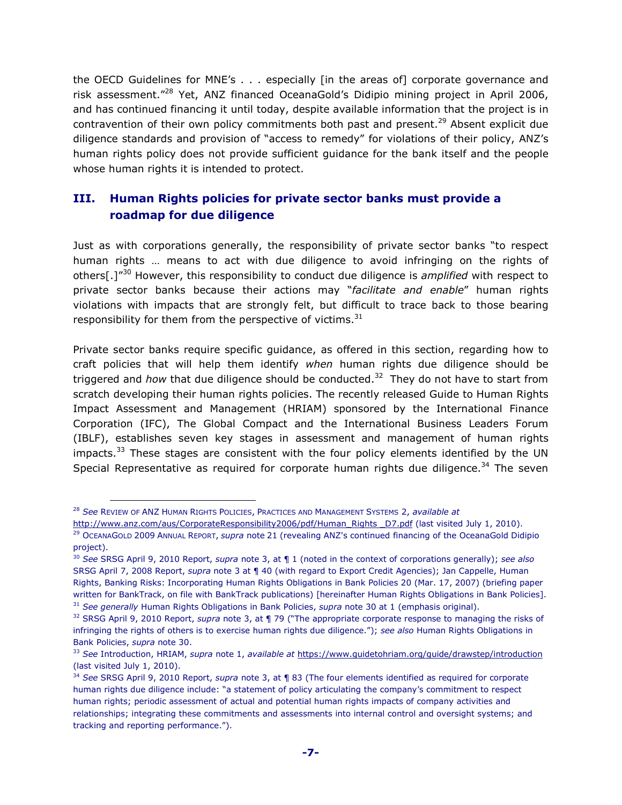the OECD Guidelines for MNE's . . . especially [in the areas of] corporate governance and risk assessment."<sup>28</sup> Yet, ANZ financed OceanaGold's Didipio mining project in April 2006, and has continued financing it until today, despite available information that the project is in contravention of their own policy commitments both past and present.<sup>29</sup> Absent explicit due diligence standards and provision of "access to remedy" for violations of their policy, ANZ's human rights policy does not provide sufficient guidance for the bank itself and the people whose human rights it is intended to protect.

# **III. Human Rights policies for private sector banks must provide a roadmap for due diligence**

Just as with corporations generally, the responsibility of private sector banks "to respect human rights … means to act with due diligence to avoid infringing on the rights of others[.]"<sup>30</sup> However, this responsibility to conduct due diligence is *amplified* with respect to private sector banks because their actions may "*facilitate and enable*" human rights violations with impacts that are strongly felt, but difficult to trace back to those bearing responsibility for them from the perspective of victims. $31$ 

Private sector banks require specific guidance, as offered in this section, regarding how to craft policies that will help them identify *when* human rights due diligence should be triggered and *how* that due diligence should be conducted.<sup>32</sup> They do not have to start from scratch developing their human rights policies. The recently released Guide to Human Rights Impact Assessment and Management (HRIAM) sponsored by the International Finance Corporation (IFC), The Global Compact and the International Business Leaders Forum (IBLF), establishes seven key stages in assessment and management of human rights impacts. $33$  These stages are consistent with the four policy elements identified by the UN Special Representative as required for corporate human rights due diligence.<sup>34</sup> The seven

<sup>28</sup> *See* REVIEW OF ANZ HUMAN RIGHTS POLICIES, PRACTICES AND MANAGEMENT SYSTEMS 2, *available at*

http://www.anz.com/aus/CorporateResponsibility2006/pdf/Human\_Rights \_D7.pdf (last visited July 1, 2010). <sup>29</sup> OCEANAGOLD 2009 ANNUAL REPORT, *supra* note 21 (revealing ANZ's continued financing of the OceanaGold Didipio project).

<sup>30</sup> *See* SRSG April 9, 2010 Report, *supra* note 3, at ¶ 1 (noted in the context of corporations generally); *see also* SRSG April 7, 2008 Report, *supra* note 3 at ¶ 40 (with regard to Export Credit Agencies); Jan Cappelle, Human Rights, Banking Risks: Incorporating Human Rights Obligations in Bank Policies 20 (Mar. 17, 2007) (briefing paper written for BankTrack, on file with BankTrack publications) [hereinafter Human Rights Obligations in Bank Policies]. <sup>31</sup> *See generally* Human Rights Obligations in Bank Policies, *supra* note 30 at 1 (emphasis original).

<sup>32</sup> SRSG April 9, 2010 Report, *supra* note 3, at ¶ 79 ("The appropriate corporate response to managing the risks of infringing the rights of others is to exercise human rights due diligence."); *see also* Human Rights Obligations in Bank Policies, *supra* note 30.

<sup>33</sup> *See* Introduction, HRIAM, *supra* note 1, *available at* https://www.guidetohriam.org/guide/drawstep/introduction (last visited July 1, 2010).

<sup>34</sup> *See* SRSG April 9, 2010 Report, *supra* note 3, at ¶ 83 (The four elements identified as required for corporate human rights due diligence include: "a statement of policy articulating the company's commitment to respect human rights; periodic assessment of actual and potential human rights impacts of company activities and relationships; integrating these commitments and assessments into internal control and oversight systems; and tracking and reporting performance.").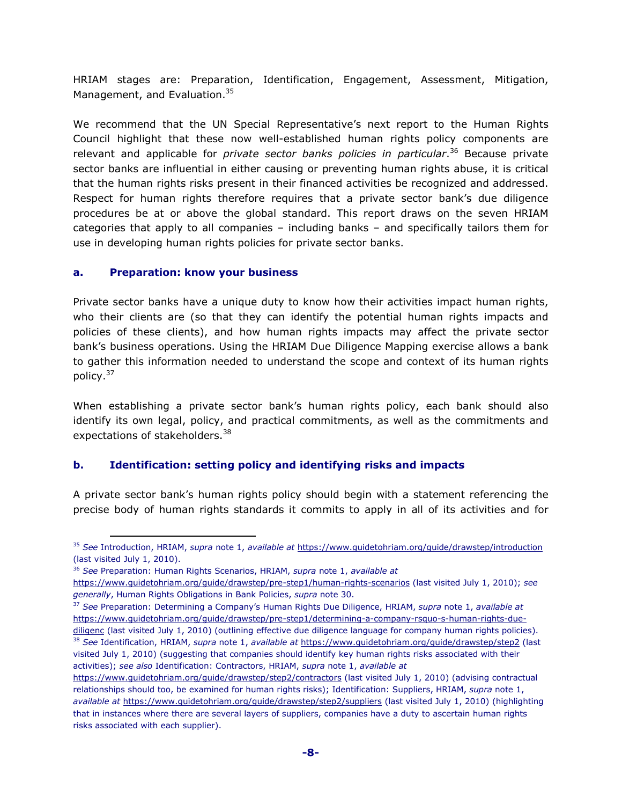HRIAM stages are: Preparation, Identification, Engagement, Assessment, Mitigation, Management, and Evaluation.<sup>35</sup>

We recommend that the UN Special Representative's next report to the Human Rights Council highlight that these now well-established human rights policy components are relevant and applicable for *private sector banks policies in particular*. <sup>36</sup> Because private sector banks are influential in either causing or preventing human rights abuse, it is critical that the human rights risks present in their financed activities be recognized and addressed. Respect for human rights therefore requires that a private sector bank's due diligence procedures be at or above the global standard. This report draws on the seven HRIAM categories that apply to all companies – including banks – and specifically tailors them for use in developing human rights policies for private sector banks.

#### **a. Preparation: know your business**

 $\overline{a}$ 

Private sector banks have a unique duty to know how their activities impact human rights, who their clients are (so that they can identify the potential human rights impacts and policies of these clients), and how human rights impacts may affect the private sector bank's business operations. Using the HRIAM Due Diligence Mapping exercise allows a bank to gather this information needed to understand the scope and context of its human rights policy.<sup>37</sup>

When establishing a private sector bank's human rights policy, each bank should also identify its own legal, policy, and practical commitments, as well as the commitments and expectations of stakeholders.<sup>38</sup>

#### **b. Identification: setting policy and identifying risks and impacts**

A private sector bank's human rights policy should begin with a statement referencing the precise body of human rights standards it commits to apply in all of its activities and for

<sup>35</sup> *See* Introduction, HRIAM, *supra* note 1, *available at* https://www.guidetohriam.org/guide/drawstep/introduction (last visited July 1, 2010).

<sup>36</sup> *See* Preparation: Human Rights Scenarios, HRIAM, *supra* note 1, *available at*

https://www.guidetohriam.org/guide/drawstep/pre-step1/human-rights-scenarios (last visited July 1, 2010); *see generally*, Human Rights Obligations in Bank Policies, *supra* note 30.

<sup>37</sup> *See* Preparation: Determining a Company's Human Rights Due Diligence, HRIAM, *supra* note 1, *available at*  https://www.guidetohriam.org/guide/drawstep/pre-step1/determining-a-company-rsquo-s-human-rights-duediligenc (last visited July 1, 2010) (outlining effective due diligence language for company human rights policies). <sup>38</sup> *See* Identification, HRIAM, *supra* note 1, *available at* https://www.guidetohriam.org/guide/drawstep/step2 (last visited July 1, 2010) (suggesting that companies should identify key human rights risks associated with their activities); *see also* Identification: Contractors, HRIAM, *supra* note 1, *available at*

https://www.guidetohriam.org/guide/drawstep/step2/contractors (last visited July 1, 2010) (advising contractual relationships should too, be examined for human rights risks); Identification: Suppliers, HRIAM, *supra* note 1, *available at* https://www.guidetohriam.org/guide/drawstep/step2/suppliers (last visited July 1, 2010) (highlighting that in instances where there are several layers of suppliers, companies have a duty to ascertain human rights risks associated with each supplier).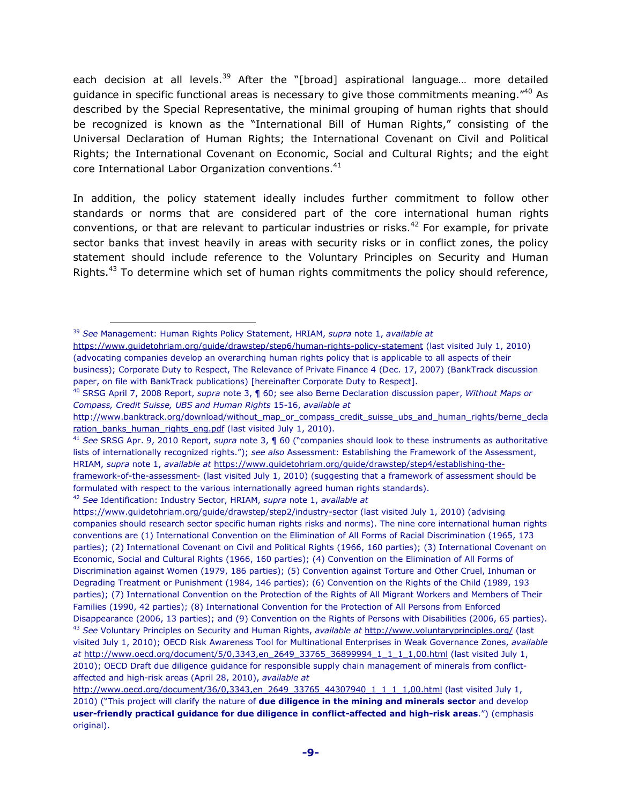each decision at all levels.<sup>39</sup> After the "[broad] aspirational language... more detailed guidance in specific functional areas is necessary to give those commitments meaning."<sup>40</sup> As described by the Special Representative, the minimal grouping of human rights that should be recognized is known as the "International Bill of Human Rights," consisting of the Universal Declaration of Human Rights; the International Covenant on Civil and Political Rights; the International Covenant on Economic, Social and Cultural Rights; and the eight core International Labor Organization conventions.<sup>41</sup>

In addition, the policy statement ideally includes further commitment to follow other standards or norms that are considered part of the core international human rights conventions, or that are relevant to particular industries or risks.<sup>42</sup> For example, for private sector banks that invest heavily in areas with security risks or in conflict zones, the policy statement should include reference to the Voluntary Principles on Security and Human Rights.<sup>43</sup> To determine which set of human rights commitments the policy should reference,

<sup>39</sup> *See* Management: Human Rights Policy Statement, HRIAM, *supra* note 1, *available at*

https://www.guidetohriam.org/guide/drawstep/step6/human-rights-policy-statement (last visited July 1, 2010) (advocating companies develop an overarching human rights policy that is applicable to all aspects of their business); Corporate Duty to Respect, The Relevance of Private Finance 4 (Dec. 17, 2007) (BankTrack discussion paper, on file with BankTrack publications) [hereinafter Corporate Duty to Respect].

<sup>40</sup> SRSG April 7, 2008 Report, *supra* note 3, ¶ 60; see also Berne Declaration discussion paper, *Without Maps or Compass, Credit Suisse, UBS and Human Rights* 15-16, *available at* 

http://www.banktrack.org/download/without\_map\_or\_compass\_credit\_suisse\_ubs\_and\_human\_rights/berne\_decla ration banks human rights eng.pdf (last visited July 1, 2010).

<sup>41</sup> *See* SRSG Apr. 9, 2010 Report, *supra* note 3, ¶ 60 ("companies should look to these instruments as authoritative lists of internationally recognized rights."); *see also* Assessment: Establishing the Framework of the Assessment, HRIAM, *supra* note 1, *available at* https://www.guidetohriam.org/guide/drawstep/step4/establishing-theframework-of-the-assessment- (last visited July 1, 2010) (suggesting that a framework of assessment should be

formulated with respect to the various internationally agreed human rights standards).

<sup>42</sup> *See* Identification: Industry Sector, HRIAM, *supra* note 1, *available at* 

https://www.guidetohriam.org/guide/drawstep/step2/industry-sector (last visited July 1, 2010) (advising companies should research sector specific human rights risks and norms). The nine core international human rights conventions are (1) International Convention on the Elimination of All Forms of Racial Discrimination (1965, 173 parties); (2) International Covenant on Civil and Political Rights (1966, 160 parties); (3) International Covenant on Economic, Social and Cultural Rights (1966, 160 parties); (4) Convention on the Elimination of All Forms of Discrimination against Women (1979, 186 parties); (5) Convention against Torture and Other Cruel, Inhuman or Degrading Treatment or Punishment (1984, 146 parties); (6) Convention on the Rights of the Child (1989, 193 parties); (7) International Convention on the Protection of the Rights of All Migrant Workers and Members of Their Families (1990, 42 parties); (8) International Convention for the Protection of All Persons from Enforced Disappearance (2006, 13 parties); and (9) Convention on the Rights of Persons with Disabilities (2006, 65 parties). <sup>43</sup> *See* Voluntary Principles on Security and Human Rights, *available at* http://www.voluntaryprinciples.org/ (last visited July 1, 2010); OECD Risk Awareness Tool for Multinational Enterprises in Weak Governance Zones, *available at* http://www.oecd.org/document/5/0,3343,en\_2649\_33765\_36899994\_1\_1\_1\_1,00.html (last visited July 1, 2010); OECD Draft due diligence guidance for responsible supply chain management of minerals from conflictaffected and high-risk areas (April 28, 2010), *available at* 

http://www.oecd.org/document/36/0,3343,en\_2649\_33765\_44307940\_1\_1\_1\_1,00.html (last visited July 1, 2010) ("This project will clarify the nature of **due diligence in the mining and minerals sector** and develop **user-friendly practical guidance for due diligence in conflict-affected and high-risk areas**.") (emphasis original).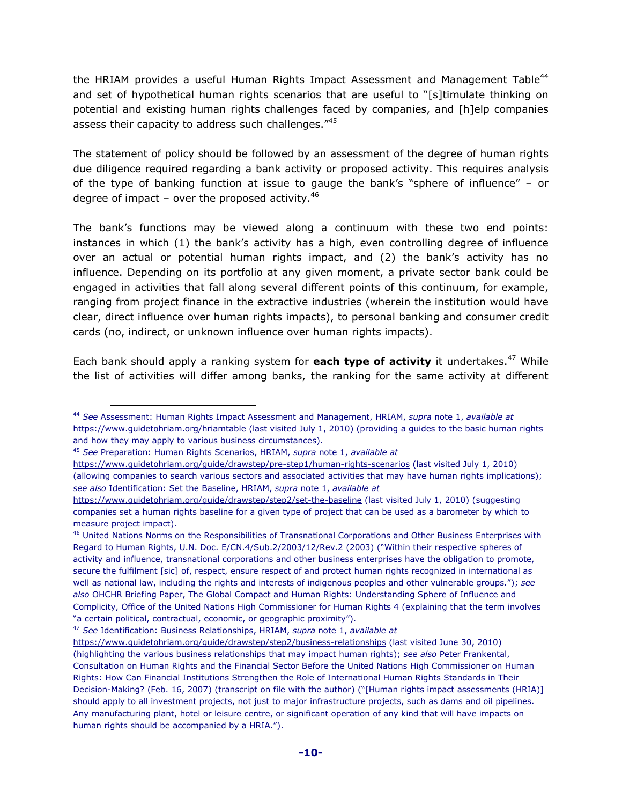the HRIAM provides a useful Human Rights Impact Assessment and Management Table<sup>44</sup> and set of hypothetical human rights scenarios that are useful to "[s]timulate thinking on potential and existing human rights challenges faced by companies, and [h]elp companies assess their capacity to address such challenges."45

The statement of policy should be followed by an assessment of the degree of human rights due diligence required regarding a bank activity or proposed activity. This requires analysis of the type of banking function at issue to gauge the bank's "sphere of influence" – or degree of impact – over the proposed activity. $46$ 

The bank's functions may be viewed along a continuum with these two end points: instances in which (1) the bank's activity has a high, even controlling degree of influence over an actual or potential human rights impact, and (2) the bank's activity has no influence. Depending on its portfolio at any given moment, a private sector bank could be engaged in activities that fall along several different points of this continuum, for example, ranging from project finance in the extractive industries (wherein the institution would have clear, direct influence over human rights impacts), to personal banking and consumer credit cards (no, indirect, or unknown influence over human rights impacts).

Each bank should apply a ranking system for **each type of activity** it undertakes.<sup>47</sup> While the list of activities will differ among banks, the ranking for the same activity at different

 $\overline{a}$ 

<sup>47</sup> *See* Identification: Business Relationships, HRIAM, *supra* note 1, *available at*

<sup>44</sup> *See* Assessment: Human Rights Impact Assessment and Management, HRIAM, *supra* note 1, *available at* https://www.guidetohriam.org/hriamtable (last visited July 1, 2010) (providing a guides to the basic human rights and how they may apply to various business circumstances).

<sup>45</sup> *See* Preparation: Human Rights Scenarios, HRIAM, *supra* note 1, *available at*

https://www.guidetohriam.org/guide/drawstep/pre-step1/human-rights-scenarios (last visited July 1, 2010) (allowing companies to search various sectors and associated activities that may have human rights implications); *see also* Identification: Set the Baseline, HRIAM, *supra* note 1, *available at*

https://www.guidetohriam.org/guide/drawstep/step2/set-the-baseline (last visited July 1, 2010) (suggesting companies set a human rights baseline for a given type of project that can be used as a barometer by which to measure project impact).

<sup>46</sup> United Nations Norms on the Responsibilities of Transnational Corporations and Other Business Enterprises with Regard to Human Rights, U.N. Doc. E/CN.4/Sub.2/2003/12/Rev.2 (2003) ("Within their respective spheres of activity and influence, transnational corporations and other business enterprises have the obligation to promote, secure the fulfilment [sic] of, respect, ensure respect of and protect human rights recognized in international as well as national law, including the rights and interests of indigenous peoples and other vulnerable groups."); *see also* OHCHR Briefing Paper, The Global Compact and Human Rights: Understanding Sphere of Influence and Complicity, Office of the United Nations High Commissioner for Human Rights 4 (explaining that the term involves "a certain political, contractual, economic, or geographic proximity").

https://www.guidetohriam.org/guide/drawstep/step2/business-relationships (last visited June 30, 2010) (highlighting the various business relationships that may impact human rights); *see also* Peter Frankental, Consultation on Human Rights and the Financial Sector Before the United Nations High Commissioner on Human Rights: How Can Financial Institutions Strengthen the Role of International Human Rights Standards in Their Decision-Making? (Feb. 16, 2007) (transcript on file with the author) ("[Human rights impact assessments (HRIA)] should apply to all investment projects, not just to major infrastructure projects, such as dams and oil pipelines. Any manufacturing plant, hotel or leisure centre, or significant operation of any kind that will have impacts on human rights should be accompanied by a HRIA.").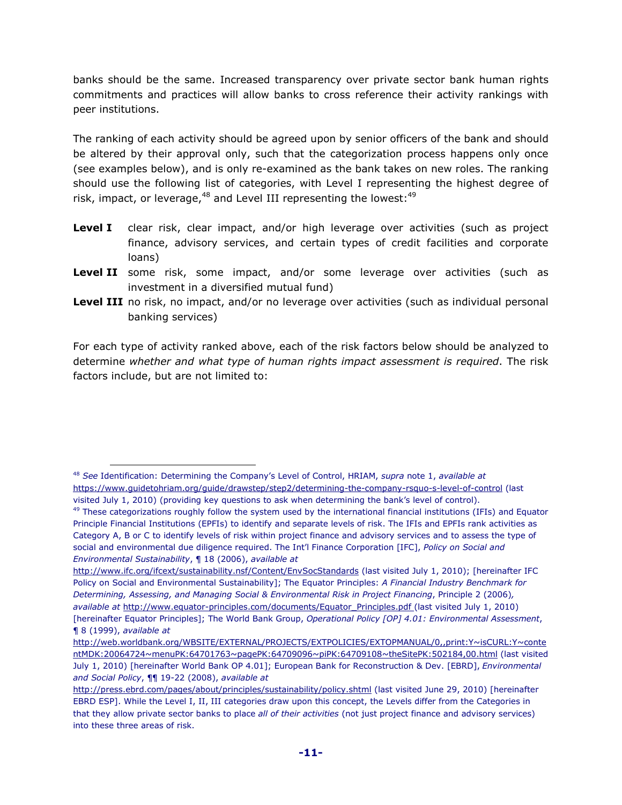banks should be the same. Increased transparency over private sector bank human rights commitments and practices will allow banks to cross reference their activity rankings with peer institutions.

The ranking of each activity should be agreed upon by senior officers of the bank and should be altered by their approval only, such that the categorization process happens only once (see examples below), and is only re-examined as the bank takes on new roles. The ranking should use the following list of categories, with Level I representing the highest degree of risk, impact, or leverage, $48$  and Level III representing the lowest: $49$ 

- **Level I** clear risk, clear impact, and/or high leverage over activities (such as project finance, advisory services, and certain types of credit facilities and corporate loans)
- **Level II** some risk, some impact, and/or some leverage over activities (such as investment in a diversified mutual fund)
- Level III no risk, no impact, and/or no leverage over activities (such as individual personal banking services)

For each type of activity ranked above, each of the risk factors below should be analyzed to determine *whether and what type of human rights impact assessment is required*. The risk factors include, but are not limited to:

<sup>48</sup> *See* Identification: Determining the Company's Level of Control, HRIAM, *supra* note 1, *available at* https://www.guidetohriam.org/guide/drawstep/step2/determining-the-company-rsquo-s-level-of-control (last visited July 1, 2010) (providing key questions to ask when determining the bank's level of control).

 $49$  These categorizations roughly follow the system used by the international financial institutions (IFIs) and Equator Principle Financial Institutions (EPFIs) to identify and separate levels of risk. The IFIs and EPFIs rank activities as Category A, B or C to identify levels of risk within project finance and advisory services and to assess the type of social and environmental due diligence required. The Int'l Finance Corporation [IFC], *Policy on Social and Environmental Sustainability*, ¶ 18 (2006), *available at*

http://www.ifc.org/ifcext/sustainability.nsf/Content/EnvSocStandards (last visited July 1, 2010); [hereinafter IFC Policy on Social and Environmental Sustainability]; The Equator Principles: *A Financial Industry Benchmark for Determining, Assessing, and Managing Social & Environmental Risk in Project Financing*, Principle 2 (2006)*, available at* http://www.equator-principles.com/documents/Equator\_Principles.pdf (last visited July 1, 2010) [hereinafter Equator Principles]; The World Bank Group, *Operational Policy [OP] 4.01: Environmental Assessment*, ¶ 8 (1999), *available at*

http://web.worldbank.org/WBSITE/EXTERNAL/PROJECTS/EXTPOLICIES/EXTOPMANUAL/0,,print:Y~isCURL:Y~conte ntMDK:20064724~menuPK:64701763~pagePK:64709096~piPK:64709108~theSitePK:502184,00.html (last visited July 1, 2010) [hereinafter World Bank OP 4.01]; European Bank for Reconstruction & Dev. [EBRD], *Environmental and Social Policy*, ¶¶ 19-22 (2008), *available at* 

http://press.ebrd.com/pages/about/principles/sustainability/policy.shtml (last visited June 29, 2010) [hereinafter EBRD ESP]. While the Level I, II, III categories draw upon this concept, the Levels differ from the Categories in that they allow private sector banks to place *all of their activities* (not just project finance and advisory services) into these three areas of risk.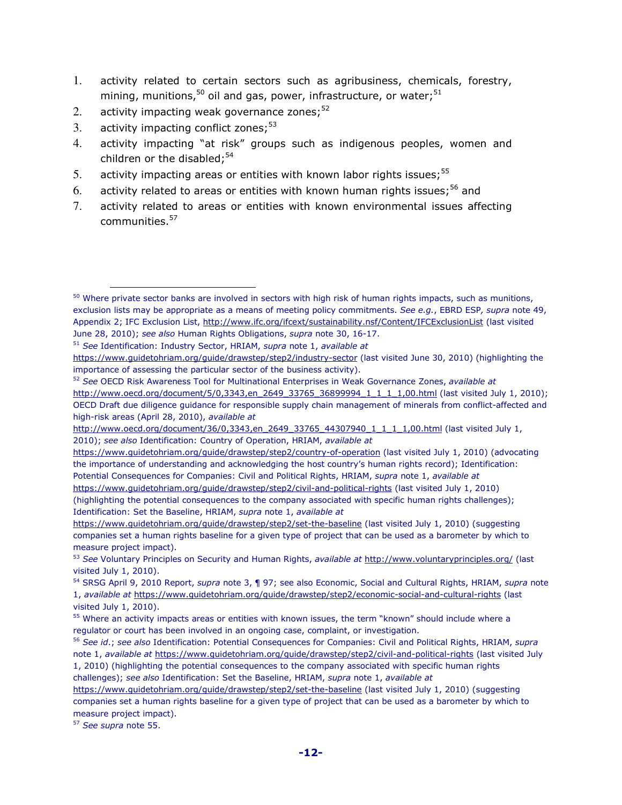- 1. activity related to certain sectors such as agribusiness, chemicals, forestry, mining, munitions,<sup>50</sup> oil and gas, power, infrastructure, or water;<sup>51</sup>
- 2. activity impacting weak governance zones; $52$
- 3. activity impacting conflict zones;  $53$

- 4. activity impacting "at risk" groups such as indigenous peoples, women and children or the disabled;<sup>54</sup>
- 5. activity impacting areas or entities with known labor rights issues;  $55$
- 6. activity related to areas or entities with known human rights issues;<sup>56</sup> and
- 7. activity related to areas or entities with known environmental issues affecting communities.<sup>57</sup>

 $50$  Where private sector banks are involved in sectors with high risk of human rights impacts, such as munitions, exclusion lists may be appropriate as a means of meeting policy commitments. *See e.g.*, EBRD ESP*, supra* note 49, Appendix 2; IFC Exclusion List, http://www.ifc.org/ifcext/sustainability.nsf/Content/IFCExclusionList (last visited June 28, 2010); *see also* Human Rights Obligations, *supra* note 30, 16-17.

<sup>51</sup> *See* Identification: Industry Sector, HRIAM, *supra* note 1, *available at*

https://www.guidetohriam.org/guide/drawstep/step2/industry-sector (last visited June 30, 2010) (highlighting the importance of assessing the particular sector of the business activity).

<sup>52</sup> *See* OECD Risk Awareness Tool for Multinational Enterprises in Weak Governance Zones, *available at*  http://www.oecd.org/document/5/0,3343,en\_2649\_33765\_36899994\_1\_1\_1\_1,00.html (last visited July 1, 2010); OECD Draft due diligence guidance for responsible supply chain management of minerals from conflict-affected and high-risk areas (April 28, 2010), *available at* 

http://www.oecd.org/document/36/0,3343,en\_2649\_33765\_44307940\_1\_1\_1\_1,00.html (last visited July 1, 2010); *see also* Identification: Country of Operation, HRIAM, *available at*

https://www.guidetohriam.org/guide/drawstep/step2/country-of-operation (last visited July 1, 2010) (advocating the importance of understanding and acknowledging the host country's human rights record); Identification: Potential Consequences for Companies: Civil and Political Rights, HRIAM, *supra* note 1, *available at* https://www.guidetohriam.org/guide/drawstep/step2/civil-and-political-rights (last visited July 1, 2010)

<sup>(</sup>highlighting the potential consequences to the company associated with specific human rights challenges); Identification: Set the Baseline, HRIAM, *supra* note 1, *available at*

https://www.guidetohriam.org/guide/drawstep/step2/set-the-baseline (last visited July 1, 2010) (suggesting companies set a human rights baseline for a given type of project that can be used as a barometer by which to measure project impact).

<sup>53</sup> *See* Voluntary Principles on Security and Human Rights, *available at* http://www.voluntaryprinciples.org/ (last visited July 1, 2010).

<sup>54</sup> SRSG April 9, 2010 Report, *supra* note 3, ¶ 97; see also Economic, Social and Cultural Rights, HRIAM, *supra* note 1, *available at* https://www.guidetohriam.org/guide/drawstep/step2/economic-social-and-cultural-rights (last visited July 1, 2010).

<sup>&</sup>lt;sup>55</sup> Where an activity impacts areas or entities with known issues, the term "known" should include where a regulator or court has been involved in an ongoing case, complaint, or investigation.

<sup>56</sup> *See id*.; *see also* Identification: Potential Consequences for Companies: Civil and Political Rights, HRIAM, *supra* note 1, *available at* https://www.guidetohriam.org/guide/drawstep/step2/civil-and-political-rights (last visited July 1, 2010) (highlighting the potential consequences to the company associated with specific human rights challenges); *see also* Identification: Set the Baseline, HRIAM, *supra* note 1, *available at*

https://www.guidetohriam.org/guide/drawstep/step2/set-the-baseline (last visited July 1, 2010) (suggesting companies set a human rights baseline for a given type of project that can be used as a barometer by which to measure project impact).

<sup>57</sup> *See supra* note 55.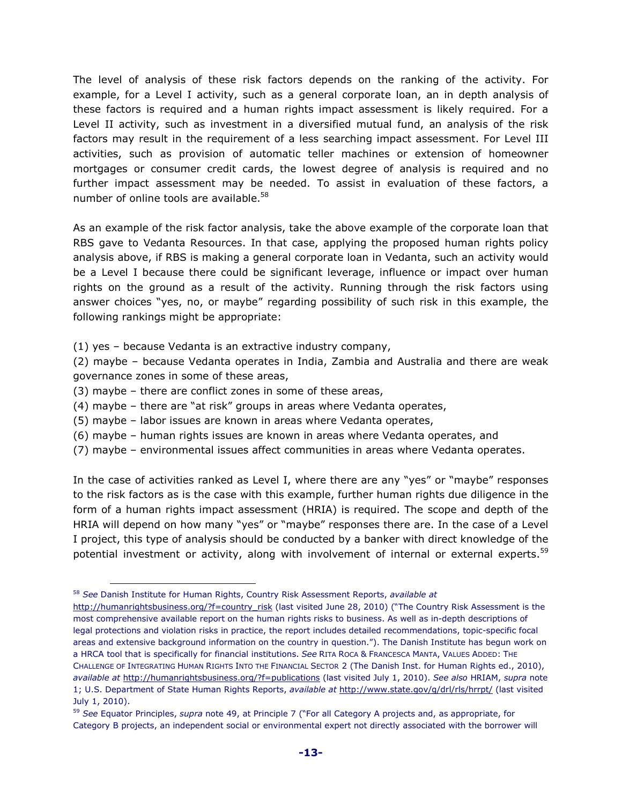The level of analysis of these risk factors depends on the ranking of the activity. For example, for a Level I activity, such as a general corporate loan, an in depth analysis of these factors is required and a human rights impact assessment is likely required. For a Level II activity, such as investment in a diversified mutual fund, an analysis of the risk factors may result in the requirement of a less searching impact assessment. For Level III activities, such as provision of automatic teller machines or extension of homeowner mortgages or consumer credit cards, the lowest degree of analysis is required and no further impact assessment may be needed. To assist in evaluation of these factors, a number of online tools are available.<sup>58</sup>

As an example of the risk factor analysis, take the above example of the corporate loan that RBS gave to Vedanta Resources. In that case, applying the proposed human rights policy analysis above, if RBS is making a general corporate loan in Vedanta, such an activity would be a Level I because there could be significant leverage, influence or impact over human rights on the ground as a result of the activity. Running through the risk factors using answer choices "yes, no, or maybe" regarding possibility of such risk in this example, the following rankings might be appropriate:

- (1) yes because Vedanta is an extractive industry company,
- (2) maybe because Vedanta operates in India, Zambia and Australia and there are weak governance zones in some of these areas,
- (3) maybe there are conflict zones in some of these areas,
- (4) maybe there are "at risk" groups in areas where Vedanta operates,
- (5) maybe labor issues are known in areas where Vedanta operates,
- (6) maybe human rights issues are known in areas where Vedanta operates, and
- (7) maybe environmental issues affect communities in areas where Vedanta operates.

In the case of activities ranked as Level I, where there are any "yes" or "maybe" responses to the risk factors as is the case with this example, further human rights due diligence in the form of a human rights impact assessment (HRIA) is required. The scope and depth of the HRIA will depend on how many "yes" or "maybe" responses there are. In the case of a Level I project, this type of analysis should be conducted by a banker with direct knowledge of the potential investment or activity, along with involvement of internal or external experts.<sup>59</sup>

<sup>58</sup> *See* Danish Institute for Human Rights, Country Risk Assessment Reports, *available at*

http://humanrightsbusiness.org/?f=country\_risk (last visited June 28, 2010) ("The Country Risk Assessment is the most comprehensive available report on the human rights risks to business. As well as in-depth descriptions of legal protections and violation risks in practice, the report includes detailed recommendations, topic-specific focal areas and extensive background information on the country in question."). The Danish Institute has begun work on a HRCA tool that is specifically for financial institutions. *See* RITA ROCA & FRANCESCA MANTA, VALUES ADDED: THE CHALLENGE OF INTEGRATING HUMAN RIGHTS INTO THE FINANCIAL SECTOR 2 (The Danish Inst. for Human Rights ed., 2010), *available at* http://humanrightsbusiness.org/?f=publications (last visited July 1, 2010). *See also* HRIAM, *supra* note 1; U.S. Department of State Human Rights Reports, *available at* http://www.state.gov/g/drl/rls/hrrpt/ (last visited July 1, 2010).

<sup>59</sup> *See* Equator Principles, *supra* note 49, at Principle 7 ("For all Category A projects and, as appropriate, for Category B projects, an independent social or environmental expert not directly associated with the borrower will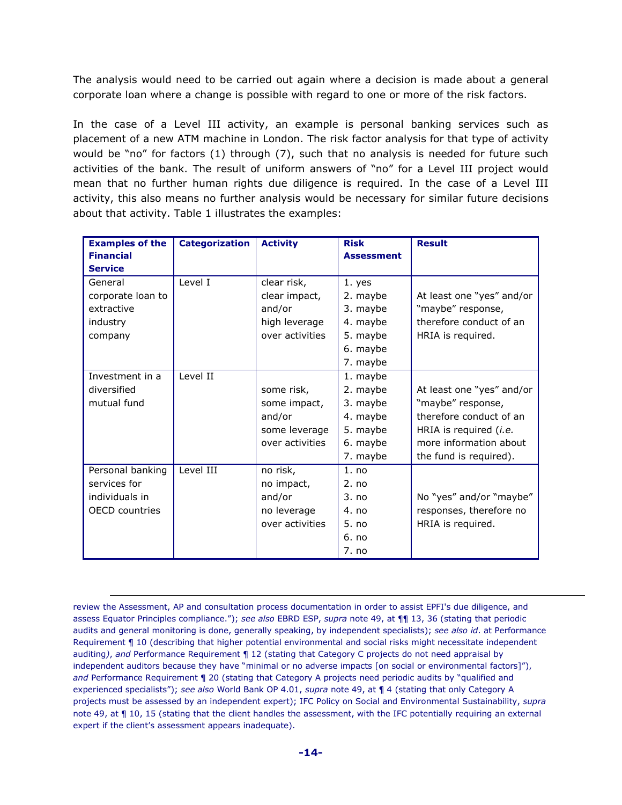The analysis would need to be carried out again where a decision is made about a general corporate loan where a change is possible with regard to one or more of the risk factors.

In the case of a Level III activity, an example is personal banking services such as placement of a new ATM machine in London. The risk factor analysis for that type of activity would be "no" for factors (1) through (7), such that no analysis is needed for future such activities of the bank. The result of uniform answers of "no" for a Level III project would mean that no further human rights due diligence is required. In the case of a Level III activity, this also means no further analysis would be necessary for similar future decisions about that activity. Table 1 illustrates the examples:

| <b>Examples of the</b> | <b>Categorization</b> | <b>Activity</b> | <b>Risk</b>       | <b>Result</b>                 |
|------------------------|-----------------------|-----------------|-------------------|-------------------------------|
| <b>Financial</b>       |                       |                 | <b>Assessment</b> |                               |
| <b>Service</b>         |                       |                 |                   |                               |
| General                | Level I               | clear risk,     | 1. yes            |                               |
| corporate loan to      |                       | clear impact,   | 2. maybe          | At least one "yes" and/or     |
| extractive             |                       | and/or          | 3. maybe          | "maybe" response,             |
| industry               |                       | high leverage   | 4. maybe          | therefore conduct of an       |
| company                |                       | over activities | 5. maybe          | HRIA is required.             |
|                        |                       |                 | 6. maybe          |                               |
|                        |                       |                 | 7. maybe          |                               |
| Investment in a        | Level II              |                 | 1. maybe          |                               |
| diversified            |                       | some risk,      | 2. maybe          | At least one "yes" and/or     |
| mutual fund            |                       | some impact,    | 3. maybe          | "maybe" response,             |
|                        |                       | and/or          | 4. maybe          | therefore conduct of an       |
|                        |                       | some leverage   | 5. maybe          | HRIA is required <i>(i.e.</i> |
|                        |                       | over activities | 6. maybe          | more information about        |
|                        |                       |                 | 7. maybe          | the fund is required).        |
| Personal banking       | Level III             | no risk,        | 1. no             |                               |
| services for           |                       | no impact,      | 2. no             |                               |
| individuals in         |                       | and/or          | 3. no             | No "yes" and/or "maybe"       |
| <b>OECD</b> countries  |                       | no leverage     | 4. no             | responses, therefore no       |
|                        |                       | over activities | 5. no             | HRIA is required.             |
|                        |                       |                 | 6. no             |                               |
|                        |                       |                 | 7. no             |                               |

review the Assessment, AP and consultation process documentation in order to assist EPFI's due diligence, and assess Equator Principles compliance."); *see also* EBRD ESP, *supra* note 49, at ¶¶ 13, 36 (stating that periodic audits and general monitoring is done, generally speaking, by independent specialists); *see also id*. at Performance Requirement ¶ 10 (describing that higher potential environmental and social risks might necessitate independent auditing*)*, *and* Performance Requirement ¶ 12 (stating that Category C projects do not need appraisal by independent auditors because they have "minimal or no adverse impacts [on social or environmental factors]"), *and* Performance Requirement ¶ 20 (stating that Category A projects need periodic audits by "qualified and experienced specialists"); *see also* World Bank OP 4.01, *supra* note 49, at ¶ 4 (stating that only Category A projects must be assessed by an independent expert); IFC Policy on Social and Environmental Sustainability, *supra*  note 49, at  $\P$  10, 15 (stating that the client handles the assessment, with the IFC potentially requiring an external expert if the client's assessment appears inadequate).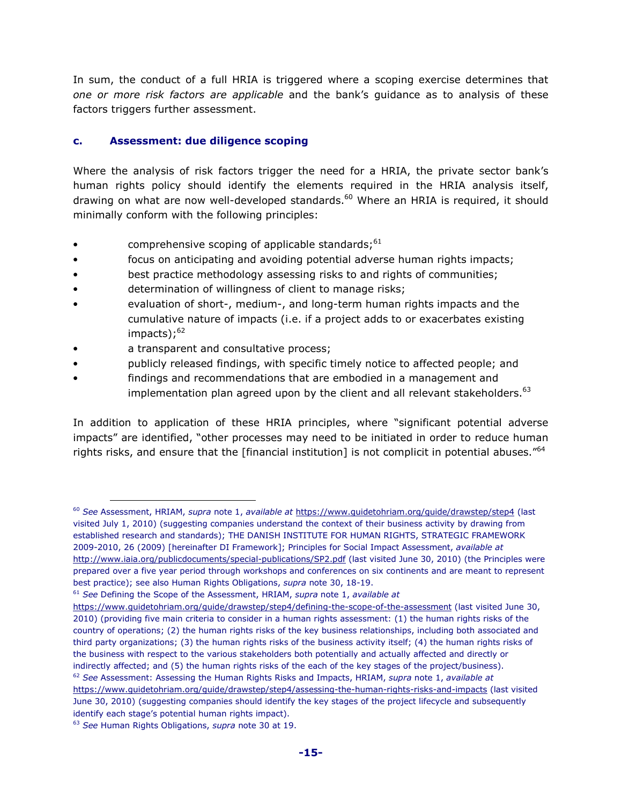In sum, the conduct of a full HRIA is triggered where a scoping exercise determines that *one or more risk factors are applicable* and the bank's guidance as to analysis of these factors triggers further assessment.

#### **c. Assessment: due diligence scoping**

Where the analysis of risk factors trigger the need for a HRIA, the private sector bank's human rights policy should identify the elements required in the HRIA analysis itself, drawing on what are now well-developed standards.<sup>60</sup> Where an HRIA is required, it should minimally conform with the following principles:

- comprehensive scoping of applicable standards; $61$
- focus on anticipating and avoiding potential adverse human rights impacts;
- best practice methodology assessing risks to and rights of communities;
- determination of willingness of client to manage risks;
- evaluation of short-, medium-, and long-term human rights impacts and the cumulative nature of impacts (i.e. if a project adds to or exacerbates existing impacts); $62$
- a transparent and consultative process;
- publicly released findings, with specific timely notice to affected people; and
- findings and recommendations that are embodied in a management and implementation plan agreed upon by the client and all relevant stakeholders.  $63$

In addition to application of these HRIA principles, where "significant potential adverse impacts" are identified, "other processes may need to be initiated in order to reduce human rights risks, and ensure that the [financial institution] is not complicit in potential abuses."<sup>64</sup>

l.

<sup>60</sup> *See* Assessment, HRIAM, *supra* note 1, *available at* https://www.guidetohriam.org/guide/drawstep/step4 (last visited July 1, 2010) (suggesting companies understand the context of their business activity by drawing from established research and standards); THE DANISH INSTITUTE FOR HUMAN RIGHTS, STRATEGIC FRAMEWORK 2009-2010, 26 (2009) [hereinafter DI Framework]; Principles for Social Impact Assessment, *available at* http://www.iaia.org/publicdocuments/special-publications/SP2.pdf (last visited June 30, 2010) (the Principles were prepared over a five year period through workshops and conferences on six continents and are meant to represent best practice); see also Human Rights Obligations, *supra* note 30, 18-19.

<sup>61</sup> *See* Defining the Scope of the Assessment, HRIAM, *supra* note 1, *available at*

https://www.guidetohriam.org/guide/drawstep/step4/defining-the-scope-of-the-assessment (last visited June 30, 2010) (providing five main criteria to consider in a human rights assessment: (1) the human rights risks of the country of operations; (2) the human rights risks of the key business relationships, including both associated and third party organizations; (3) the human rights risks of the business activity itself; (4) the human rights risks of the business with respect to the various stakeholders both potentially and actually affected and directly or indirectly affected; and (5) the human rights risks of the each of the key stages of the project/business). <sup>62</sup> *See* Assessment: Assessing the Human Rights Risks and Impacts, HRIAM, *supra* note 1, *available at*

https://www.guidetohriam.org/guide/drawstep/step4/assessing-the-human-rights-risks-and-impacts (last visited June 30, 2010) (suggesting companies should identify the key stages of the project lifecycle and subsequently identify each stage's potential human rights impact).

<sup>63</sup> *See* Human Rights Obligations, *supra* note 30 at 19.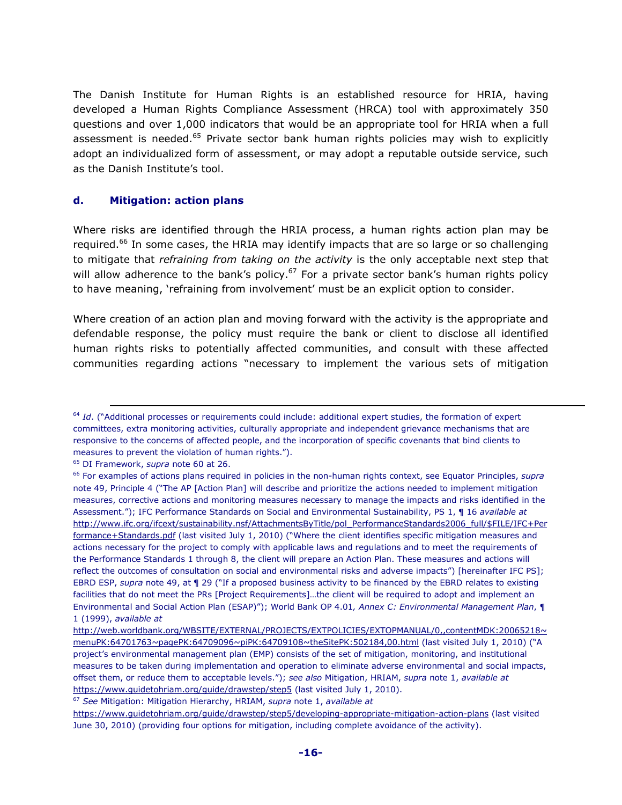The Danish Institute for Human Rights is an established resource for HRIA, having developed a Human Rights Compliance Assessment (HRCA) tool with approximately 350 questions and over 1,000 indicators that would be an appropriate tool for HRIA when a full assessment is needed.<sup>65</sup> Private sector bank human rights policies may wish to explicitly adopt an individualized form of assessment, or may adopt a reputable outside service, such as the Danish Institute's tool.

#### **d. Mitigation: action plans**

Where risks are identified through the HRIA process, a human rights action plan may be required.<sup>66</sup> In some cases, the HRIA may identify impacts that are so large or so challenging to mitigate that *refraining from taking on the activity* is the only acceptable next step that will allow adherence to the bank's policy.<sup>67</sup> For a private sector bank's human rights policy to have meaning, 'refraining from involvement' must be an explicit option to consider.

Where creation of an action plan and moving forward with the activity is the appropriate and defendable response, the policy must require the bank or client to disclose all identified human rights risks to potentially affected communities, and consult with these affected communities regarding actions "necessary to implement the various sets of mitigation

<sup>65</sup> DI Framework, *supra* note 60 at 26.

<sup>&</sup>lt;sup>64</sup> *Id.* ("Additional processes or requirements could include: additional expert studies, the formation of expert committees, extra monitoring activities, culturally appropriate and independent grievance mechanisms that are responsive to the concerns of affected people, and the incorporation of specific covenants that bind clients to measures to prevent the violation of human rights.").

<sup>66</sup> For examples of actions plans required in policies in the non-human rights context, see Equator Principles, *supra*  note 49, Principle 4 ("The AP [Action Plan] will describe and prioritize the actions needed to implement mitigation measures, corrective actions and monitoring measures necessary to manage the impacts and risks identified in the Assessment."); IFC Performance Standards on Social and Environmental Sustainability, PS 1, ¶ 16 *available at*  http://www.ifc.org/ifcext/sustainability.nsf/AttachmentsByTitle/pol\_PerformanceStandards2006\_full/\$FILE/IFC+Per formance+Standards.pdf (last visited July 1, 2010) ("Where the client identifies specific mitigation measures and actions necessary for the project to comply with applicable laws and regulations and to meet the requirements of the Performance Standards 1 through 8, the client will prepare an Action Plan. These measures and actions will reflect the outcomes of consultation on social and environmental risks and adverse impacts") [hereinafter IFC PS]; EBRD ESP, *supra* note 49, at ¶ 29 ("If a proposed business activity to be financed by the EBRD relates to existing facilities that do not meet the PRs [Project Requirements]…the client will be required to adopt and implement an Environmental and Social Action Plan (ESAP)"); World Bank OP 4.01*, Annex C: Environmental Management Plan*, ¶ 1 (1999), *available at*

http://web.worldbank.org/WBSITE/EXTERNAL/PROJECTS/EXTPOLICIES/EXTOPMANUAL/0,,contentMDK:20065218~ menuPK:64701763~pagePK:64709096~piPK:64709108~theSitePK:502184,00.html (last visited July 1, 2010) ("A project's environmental management plan (EMP) consists of the set of mitigation, monitoring, and institutional measures to be taken during implementation and operation to eliminate adverse environmental and social impacts, offset them, or reduce them to acceptable levels."); *see also* Mitigation, HRIAM, *supra* note 1, *available at* https://www.guidetohriam.org/guide/drawstep/step5 (last visited July 1, 2010).

<sup>67</sup> *See* Mitigation: Mitigation Hierarchy, HRIAM, *supra* note 1, *available at*

https://www.guidetohriam.org/guide/drawstep/step5/developing-appropriate-mitigation-action-plans (last visited June 30, 2010) (providing four options for mitigation, including complete avoidance of the activity).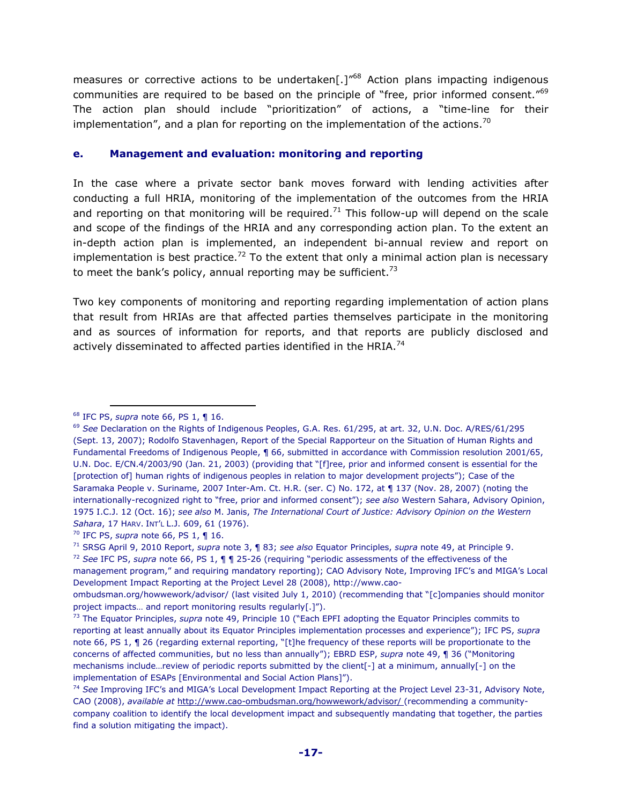measures or corrective actions to be undertaken<sup>[1768</sup> Action plans impacting indigenous communities are required to be based on the principle of "free, prior informed consent."<sup>69</sup> The action plan should include "prioritization" of actions, a "time-line for their implementation", and a plan for reporting on the implementation of the actions.<sup>70</sup>

#### **e. Management and evaluation: monitoring and reporting**

In the case where a private sector bank moves forward with lending activities after conducting a full HRIA, monitoring of the implementation of the outcomes from the HRIA and reporting on that monitoring will be required.<sup>71</sup> This follow-up will depend on the scale and scope of the findings of the HRIA and any corresponding action plan. To the extent an in-depth action plan is implemented, an independent bi-annual review and report on implementation is best practice.<sup>72</sup> To the extent that only a minimal action plan is necessary to meet the bank's policy, annual reporting may be sufficient.<sup>73</sup>

Two key components of monitoring and reporting regarding implementation of action plans that result from HRIAs are that affected parties themselves participate in the monitoring and as sources of information for reports, and that reports are publicly disclosed and actively disseminated to affected parties identified in the HRIA.<sup>74</sup>

 $\overline{a}$ 

<sup>72</sup> *See* IFC PS, *supra* note 66, PS 1, ¶ ¶ 25-26 (requiring "periodic assessments of the effectiveness of the management program," and requiring mandatory reporting); CAO Advisory Note, Improving IFC's and MIGA's Local Development Impact Reporting at the Project Level 28 (2008), http://www.cao-

<sup>68</sup> IFC PS, *supra* note 66, PS 1, ¶ 16.

<sup>69</sup> *See* Declaration on the Rights of Indigenous Peoples, G.A. Res. 61/295, at art. 32, U.N. Doc. A/RES/61/295 (Sept. 13, 2007); Rodolfo Stavenhagen, Report of the Special Rapporteur on the Situation of Human Rights and Fundamental Freedoms of Indigenous People, ¶ 66, submitted in accordance with Commission resolution 2001/65, U.N. Doc. E/CN.4/2003/90 (Jan. 21, 2003) (providing that "[f]ree, prior and informed consent is essential for the [protection of] human rights of indigenous peoples in relation to major development projects"); Case of the Saramaka People v. Suriname, 2007 Inter-Am. Ct. H.R. (ser. C) No. 172, at ¶ 137 (Nov. 28, 2007) (noting the internationally-recognized right to "free, prior and informed consent"); *see also* Western Sahara, Advisory Opinion, 1975 I.C.J. 12 (Oct. 16); *see also* M. Janis, *The International Court of Justice: Advisory Opinion on the Western Sahara*, 17 HARV. INT'L L.J. 609, 61 (1976).

<sup>70</sup> IFC PS, *supra* note 66, PS 1, ¶ 16.

<sup>71</sup> SRSG April 9, 2010 Report, *supra* note 3, ¶ 83; *see also* Equator Principles, *supra* note 49, at Principle 9.

ombudsman.org/howwework/advisor/ (last visited July 1, 2010) (recommending that "[c]ompanies should monitor project impacts… and report monitoring results regularly[.]").

<sup>73</sup> The Equator Principles, *supra* note 49, Principle 10 ("Each EPFI adopting the Equator Principles commits to reporting at least annually about its Equator Principles implementation processes and experience"); IFC PS, *supra* note 66, PS 1, ¶ 26 (regarding external reporting, "[t]he frequency of these reports will be proportionate to the concerns of affected communities, but no less than annually"); EBRD ESP, *supra* note 49, ¶ 36 ("Monitoring mechanisms include…review of periodic reports submitted by the client[-] at a minimum, annually[-] on the implementation of ESAPs [Environmental and Social Action Plans]").

<sup>74</sup> *See* Improving IFC's and MIGA's Local Development Impact Reporting at the Project Level 23-31, Advisory Note, CAO (2008), *available at* http://www.cao-ombudsman.org/howwework/advisor/ (recommending a communitycompany coalition to identify the local development impact and subsequently mandating that together, the parties find a solution mitigating the impact).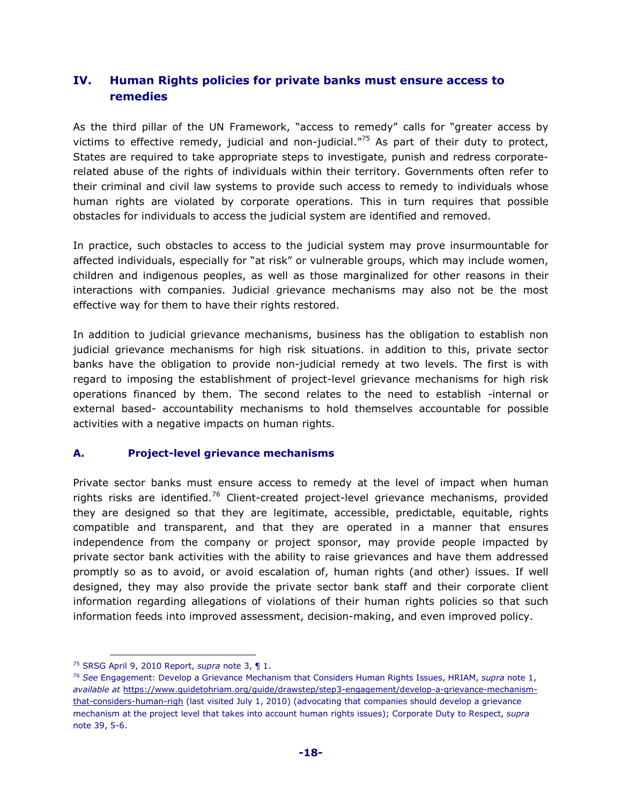## **IV. Human Rights policies for private banks must ensure access to remedies**

As the third pillar of the UN Framework, "access to remedy" calls for "greater access by victims to effective remedy, judicial and non-judicial. $^{75}$  As part of their duty to protect, States are required to take appropriate steps to investigate, punish and redress corporaterelated abuse of the rights of individuals within their territory. Governments often refer to their criminal and civil law systems to provide such access to remedy to individuals whose human rights are violated by corporate operations. This in turn requires that possible obstacles for individuals to access the judicial system are identified and removed.

In practice, such obstacles to access to the judicial system may prove insurmountable for affected individuals, especially for "at risk" or vulnerable groups, which may include women, children and indigenous peoples, as well as those marginalized for other reasons in their interactions with companies. Judicial grievance mechanisms may also not be the most effective way for them to have their rights restored.

In addition to judicial grievance mechanisms, business has the obligation to establish non judicial grievance mechanisms for high risk situations. in addition to this, private sector banks have the obligation to provide non-judicial remedy at two levels. The first is with regard to imposing the establishment of project-level grievance mechanisms for high risk operations financed by them. The second relates to the need to establish -internal or external based- accountability mechanisms to hold themselves accountable for possible activities with a negative impacts on human rights.

#### **A. Project-level grievance mechanisms**

Private sector banks must ensure access to remedy at the level of impact when human rights risks are identified.<sup>76</sup> Client-created project-level grievance mechanisms, provided they are designed so that they are legitimate, accessible, predictable, equitable, rights compatible and transparent, and that they are operated in a manner that ensures independence from the company or project sponsor, may provide people impacted by private sector bank activities with the ability to raise grievances and have them addressed promptly so as to avoid, or avoid escalation of, human rights (and other) issues. If well designed, they may also provide the private sector bank staff and their corporate client information regarding allegations of violations of their human rights policies so that such information feeds into improved assessment, decision-making, and even improved policy.

<sup>75</sup> SRSG April 9, 2010 Report, *supra* note 3, ¶ 1.

<sup>76</sup> *See* Engagement: Develop a Grievance Mechanism that Considers Human Rights Issues, HRIAM, *supra* note 1, *available at* https://www.guidetohriam.org/guide/drawstep/step3-engagement/develop-a-grievance-mechanismthat-considers-human-righ (last visited July 1, 2010) (advocating that companies should develop a grievance mechanism at the project level that takes into account human rights issues); Corporate Duty to Respect, *supra* note 39, 5-6.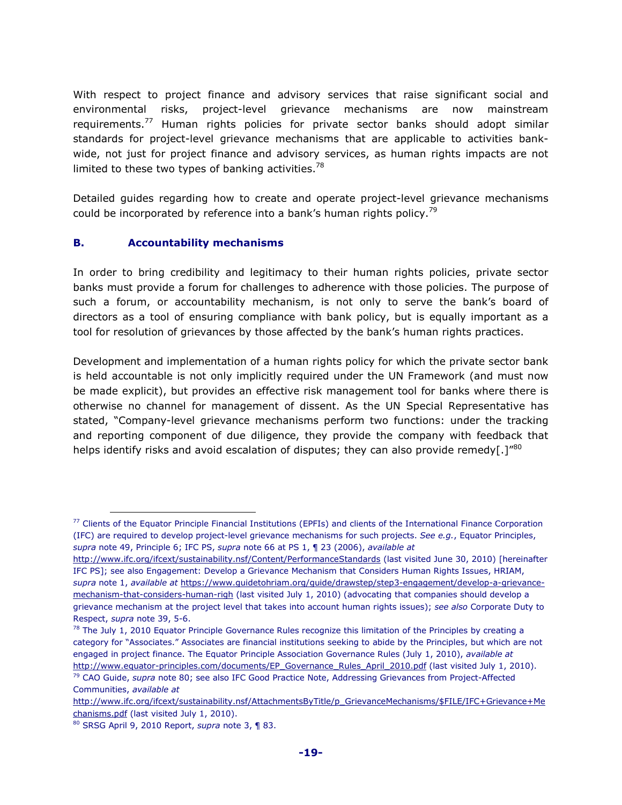With respect to project finance and advisory services that raise significant social and environmental risks, project-level grievance mechanisms are now mainstream requirements.<sup>77</sup> Human rights policies for private sector banks should adopt similar standards for project-level grievance mechanisms that are applicable to activities bankwide, not just for project finance and advisory services, as human rights impacts are not limited to these two types of banking activities.<sup>78</sup>

Detailed guides regarding how to create and operate project-level grievance mechanisms could be incorporated by reference into a bank's human rights policy.<sup>79</sup>

#### **B. Accountability mechanisms**

In order to bring credibility and legitimacy to their human rights policies, private sector banks must provide a forum for challenges to adherence with those policies. The purpose of such a forum, or accountability mechanism, is not only to serve the bank's board of directors as a tool of ensuring compliance with bank policy, but is equally important as a tool for resolution of grievances by those affected by the bank's human rights practices.

Development and implementation of a human rights policy for which the private sector bank is held accountable is not only implicitly required under the UN Framework (and must now be made explicit), but provides an effective risk management tool for banks where there is otherwise no channel for management of dissent. As the UN Special Representative has stated, "Company-level grievance mechanisms perform two functions: under the tracking and reporting component of due diligence, they provide the company with feedback that helps identify risks and avoid escalation of disputes; they can also provide remedy[.]"80

<sup>&</sup>lt;sup>77</sup> Clients of the Equator Principle Financial Institutions (EPFIs) and clients of the International Finance Corporation (IFC) are required to develop project-level grievance mechanisms for such projects. *See e.g.*, Equator Principles, *supra* note 49, Principle 6; IFC PS, *supra* note 66 at PS 1, ¶ 23 (2006), *available at*

http://www.ifc.org/ifcext/sustainability.nsf/Content/PerformanceStandards (last visited June 30, 2010) [hereinafter IFC PS]; see also Engagement: Develop a Grievance Mechanism that Considers Human Rights Issues, HRIAM, *supra* note 1, *available at* https://www.guidetohriam.org/guide/drawstep/step3-engagement/develop-a-grievancemechanism-that-considers-human-righ (last visited July 1, 2010) (advocating that companies should develop a grievance mechanism at the project level that takes into account human rights issues); *see also* Corporate Duty to Respect, *supra* note 39, 5-6.

 $78$  The July 1, 2010 Equator Principle Governance Rules recognize this limitation of the Principles by creating a category for "Associates." Associates are financial institutions seeking to abide by the Principles, but which are not engaged in project finance. The Equator Principle Association Governance Rules (July 1, 2010), *available at* http://www.equator-principles.com/documents/EP\_Governance\_Rules\_April\_2010.pdf (last visited July 1, 2010).

<sup>79</sup> CAO Guide, *supra* note 80; see also IFC Good Practice Note, Addressing Grievances from Project-Affected Communities, *available at* 

http://www.ifc.org/ifcext/sustainability.nsf/AttachmentsByTitle/p\_GrievanceMechanisms/\$FILE/IFC+Grievance+Me chanisms.pdf (last visited July 1, 2010).

<sup>80</sup> SRSG April 9, 2010 Report, *supra* note 3, ¶ 83.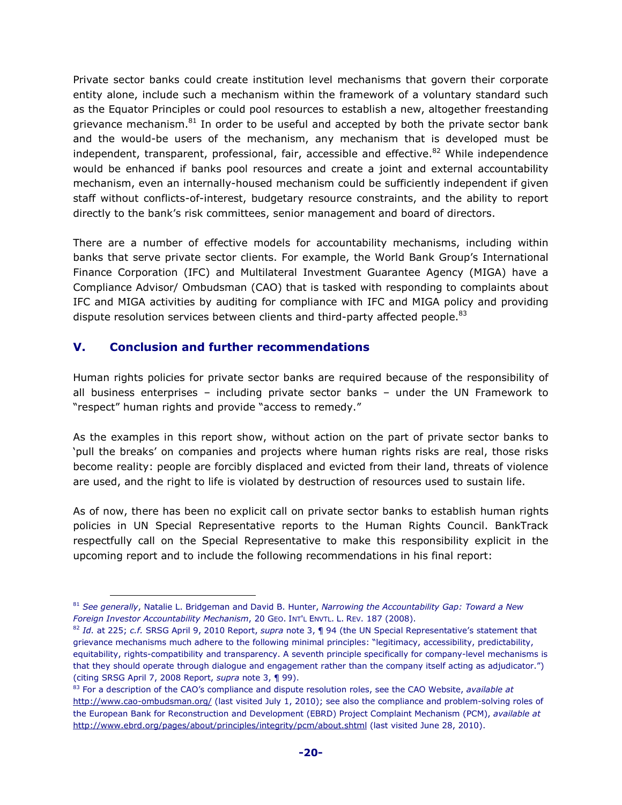Private sector banks could create institution level mechanisms that govern their corporate entity alone, include such a mechanism within the framework of a voluntary standard such as the Equator Principles or could pool resources to establish a new, altogether freestanding grievance mechanism. $81$  In order to be useful and accepted by both the private sector bank and the would-be users of the mechanism, any mechanism that is developed must be independent, transparent, professional, fair, accessible and effective. $82$  While independence would be enhanced if banks pool resources and create a joint and external accountability mechanism, even an internally-housed mechanism could be sufficiently independent if given staff without conflicts-of-interest, budgetary resource constraints, and the ability to report directly to the bank's risk committees, senior management and board of directors.

There are a number of effective models for accountability mechanisms, including within banks that serve private sector clients. For example, the World Bank Group's International Finance Corporation (IFC) and Multilateral Investment Guarantee Agency (MIGA) have a Compliance Advisor/ Ombudsman (CAO) that is tasked with responding to complaints about IFC and MIGA activities by auditing for compliance with IFC and MIGA policy and providing dispute resolution services between clients and third-party affected people. $^{83}$ 

## **V. Conclusion and further recommendations**

 $\overline{a}$ 

Human rights policies for private sector banks are required because of the responsibility of all business enterprises – including private sector banks – under the UN Framework to "respect" human rights and provide "access to remedy."

As the examples in this report show, without action on the part of private sector banks to 'pull the breaks' on companies and projects where human rights risks are real, those risks become reality: people are forcibly displaced and evicted from their land, threats of violence are used, and the right to life is violated by destruction of resources used to sustain life.

As of now, there has been no explicit call on private sector banks to establish human rights policies in UN Special Representative reports to the Human Rights Council. BankTrack respectfully call on the Special Representative to make this responsibility explicit in the upcoming report and to include the following recommendations in his final report:

<sup>81</sup> *See generally*, Natalie L. Bridgeman and David B. Hunter, *Narrowing the Accountability Gap: Toward a New Foreign Investor Accountability Mechanism*, 20 GEO. INT'L ENVTL. L. REV. 187 (2008).

<sup>82</sup> *Id.* at 225; *c.f.* SRSG April 9, 2010 Report, *supra* note 3, ¶ 94 (the UN Special Representative's statement that grievance mechanisms much adhere to the following minimal principles: "legitimacy, accessibility, predictability, equitability, rights-compatibility and transparency. A seventh principle specifically for company-level mechanisms is that they should operate through dialogue and engagement rather than the company itself acting as adjudicator.") (citing SRSG April 7, 2008 Report, *supra* note 3, ¶ 99).

<sup>83</sup> For a description of the CAO's compliance and dispute resolution roles, see the CAO Website, *available at* http://www.cao-ombudsman.org/ (last visited July 1, 2010); see also the compliance and problem-solving roles of the European Bank for Reconstruction and Development (EBRD) Project Complaint Mechanism (PCM), *available at* http://www.ebrd.org/pages/about/principles/integrity/pcm/about.shtml (last visited June 28, 2010).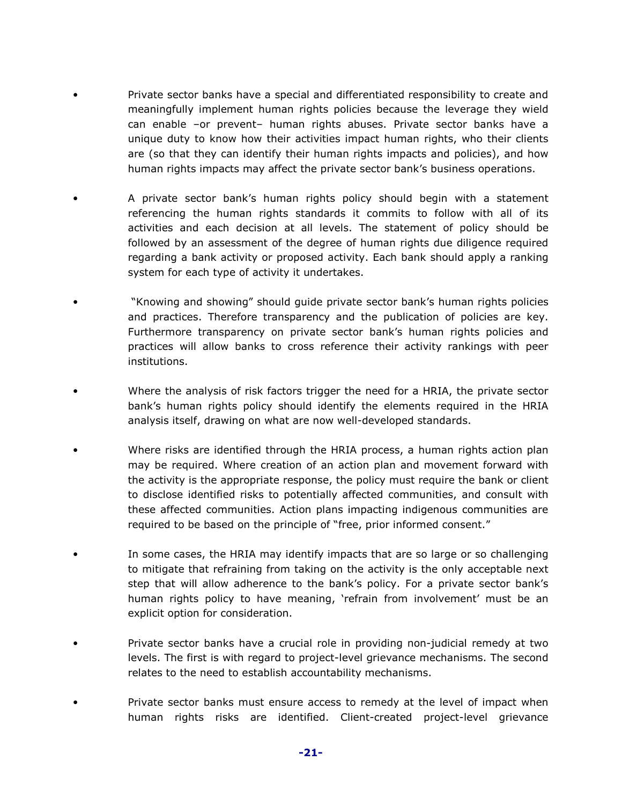- Private sector banks have a special and differentiated responsibility to create and meaningfully implement human rights policies because the leverage they wield can enable –or prevent– human rights abuses. Private sector banks have a unique duty to know how their activities impact human rights, who their clients are (so that they can identify their human rights impacts and policies), and how human rights impacts may affect the private sector bank's business operations.
- A private sector bank's human rights policy should begin with a statement referencing the human rights standards it commits to follow with all of its activities and each decision at all levels. The statement of policy should be followed by an assessment of the degree of human rights due diligence required regarding a bank activity or proposed activity. Each bank should apply a ranking system for each type of activity it undertakes.
- "Knowing and showing" should guide private sector bank's human rights policies and practices. Therefore transparency and the publication of policies are key. Furthermore transparency on private sector bank's human rights policies and practices will allow banks to cross reference their activity rankings with peer institutions.
- Where the analysis of risk factors trigger the need for a HRIA, the private sector bank's human rights policy should identify the elements required in the HRIA analysis itself, drawing on what are now well-developed standards.
- Where risks are identified through the HRIA process, a human rights action plan may be required. Where creation of an action plan and movement forward with the activity is the appropriate response, the policy must require the bank or client to disclose identified risks to potentially affected communities, and consult with these affected communities. Action plans impacting indigenous communities are required to be based on the principle of "free, prior informed consent."
- In some cases, the HRIA may identify impacts that are so large or so challenging to mitigate that refraining from taking on the activity is the only acceptable next step that will allow adherence to the bank's policy. For a private sector bank's human rights policy to have meaning, 'refrain from involvement' must be an explicit option for consideration.
- Private sector banks have a crucial role in providing non-judicial remedy at two levels. The first is with regard to project-level grievance mechanisms. The second relates to the need to establish accountability mechanisms.
- Private sector banks must ensure access to remedy at the level of impact when human rights risks are identified. Client-created project-level grievance